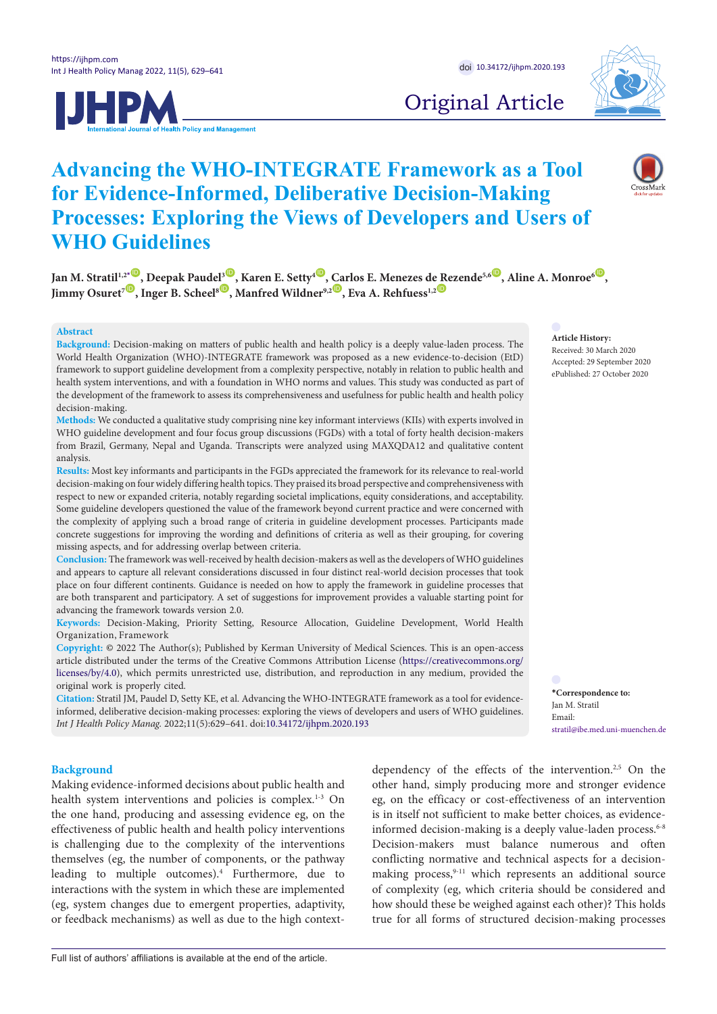



# Original Article

## **Advancing the WHO-INTEGRATE Framework as a Tool for Evidence-Informed, Deliberative Decision-Making Processes: Exploring the Views of Developers and Users of WHO Guidelines**

 $\delta$  Jan M. Stratil<sup>1,2[\\*](#page-0-0)</sup>  $\bullet$  , Deepak Paudel<sup>3</sup>  $\bullet$  , Karen E. Setty<sup>4  $\bullet$ </sup>, [Ca](http://orcid.org/0000-0003-3875-1929)rlos E. Menezes d[e Re](http://orcid.org/0000-0002-4318-8846)zende<sup>5,6</sup>  $\bullet$  , Aline A. Monroe<sup>6</sup>  $\bullet$  , **Jimmy Osuret7** [ID](http://orcid.org/0000-0002-3382-620X) **, Inger B. Scheel8** [ID](http://orcid.org/0000-0003-2338-3174) **, Manfred Wildner9,2** ID **, Eva A. Rehfuess1,2** ID

#### **Abstract**

**Background:** Decision-making on matters of public health and health policy is a deeply value-laden process. The World Health Organization (WHO)-INTEGRATE framework was proposed as a new evidence-to-decision (EtD) framework to support guideline development from a complexity perspective, notably in relation to public health and health system interventions, and with a foundation in WHO norms and values. This study was conducted as part of the development of the framework to assess its comprehensiveness and usefulness for public health and health policy decision-making.

**Methods:** We conducted a qualitative study comprising nine key informant interviews (KIIs) with experts involved in WHO guideline development and four focus group discussions (FGDs) with a total of forty health decision-makers from Brazil, Germany, Nepal and Uganda. Transcripts were analyzed using MAXQDA12 and qualitative content analysis.

**Results:** Most key informants and participants in the FGDs appreciated the framework for its relevance to real-world decision-making on four widely differing health topics. They praised its broad perspective and comprehensiveness with respect to new or expanded criteria, notably regarding societal implications, equity considerations, and acceptability. Some guideline developers questioned the value of the framework beyond current practice and were concerned with the complexity of applying such a broad range of criteria in guideline development processes. Participants made concrete suggestions for improving the wording and definitions of criteria as well as their grouping, for covering missing aspects, and for addressing overlap between criteria.

**Conclusion:** The framework was well-received by health decision-makers as well as the developers of WHO guidelines and appears to capture all relevant considerations discussed in four distinct real-world decision processes that took place on four different continents. Guidance is needed on how to apply the framework in guideline processes that are both transparent and participatory. A set of suggestions for improvement provides a valuable starting point for advancing the framework towards version 2.0.

**Keywords:** Decision-Making, Priority Setting, Resource Allocation, Guideline Development, World Health Organization, Framework

**Copyright:** © 2022 The Author(s); Published by Kerman University of Medical Sciences. This is an open-access article distributed under the terms of the Creative Commons Attribution License [\(https://creativecommons.org/](https://creativecommons.org/licenses/by/4.0) [licenses/by/4.0\)](https://creativecommons.org/licenses/by/4.0), which permits unrestricted use, distribution, and reproduction in any medium, provided the original work is properly cited.

**Citation:** Stratil JM, Paudel D, Setty KE, et al. Advancing the WHO-INTEGRATE framework as a tool for evidenceinformed, deliberative decision-making processes: exploring the views of developers and users of WHO guidelines. *Int J Health Policy Manag.* 2022;11(5):629–641. doi:[10.34172/ijhpm.2020.193](https://doi.org/10.34172/ijhpm.2020.193)

## **Article History:**

Received: 30 March 2020 Accepted: 29 September 2020 ePublished: 27 October 2020

<span id="page-0-0"></span>**\*Correspondence to:** Jan M. Stratil Email: stratil@ibe.med.uni-muenchen.de

#### **Background**

Making evidence-informed decisions about public health and health system interventions and policies is complex.<sup>1-3</sup> On the one hand, producing and assessing evidence eg, on the effectiveness of public health and health policy interventions is challenging due to the complexity of the interventions themselves (eg, the number of components, or the pathway leading to multiple outcomes).4 Furthermore, due to interactions with the system in which these are implemented (eg, system changes due to emergent properties, adaptivity, or feedback mechanisms) as well as due to the high context-

dependency of the effects of the intervention.<sup>2,5</sup> On the other hand, simply producing more and stronger evidence eg, on the efficacy or cost-effectiveness of an intervention is in itself not sufficient to make better choices, as evidenceinformed decision-making is a deeply value-laden process.<sup>6-8</sup> Decision-makers must balance numerous and often conflicting normative and technical aspects for a decisionmaking process,<sup>9-11</sup> which represents an additional source of complexity (eg, which criteria should be considered and how should these be weighed against each other)? This holds true for all forms of structured decision-making processes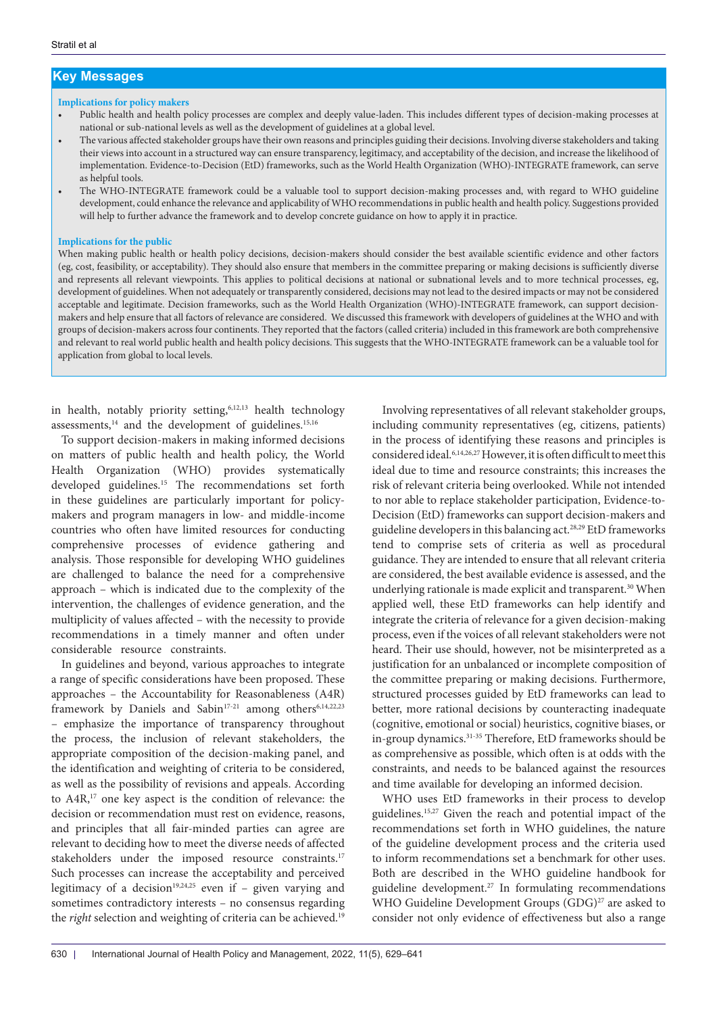## **Key Messages**

#### **Implications for policy makers**

- Public health and health policy processes are complex and deeply value-laden. This includes different types of decision-making processes at national or sub-national levels as well as the development of guidelines at a global level.
- The various affected stakeholder groups have their own reasons and principles guiding their decisions. Involving diverse stakeholders and taking their views into account in a structured way can ensure transparency, legitimacy, and acceptability of the decision, and increase the likelihood of implementation. Evidence-to-Decision (EtD) frameworks, such as the World Health Organization (WHO)-INTEGRATE framework, can serve as helpful tools.
- The WHO-INTEGRATE framework could be a valuable tool to support decision-making processes and, with regard to WHO guideline development, could enhance the relevance and applicability of WHO recommendations in public health and health policy. Suggestions provided will help to further advance the framework and to develop concrete guidance on how to apply it in practice.

#### **Implications for the public**

When making public health or health policy decisions, decision-makers should consider the best available scientific evidence and other factors (eg, cost, feasibility, or acceptability). They should also ensure that members in the committee preparing or making decisions is sufficiently diverse and represents all relevant viewpoints. This applies to political decisions at national or subnational levels and to more technical processes, eg, development of guidelines. When not adequately or transparently considered, decisions may not lead to the desired impacts or may not be considered acceptable and legitimate. Decision frameworks, such as the World Health Organization (WHO)-INTEGRATE framework, can support decisionmakers and help ensure that all factors of relevance are considered. We discussed this framework with developers of guidelines at the WHO and with groups of decision-makers across four continents. They reported that the factors (called criteria) included in this framework are both comprehensive and relevant to real world public health and health policy decisions. This suggests that the WHO-INTEGRATE framework can be a valuable tool for application from global to local levels.

in health, notably priority setting,<sup>6,12,13</sup> health technology assessments, $14$  and the development of guidelines. $15,16$ 

To support decision-makers in making informed decisions on matters of public health and health policy, the World Health Organization (WHO) provides systematically developed guidelines.15 The recommendations set forth in these guidelines are particularly important for policymakers and program managers in low- and middle-income countries who often have limited resources for conducting comprehensive processes of evidence gathering and analysis. Those responsible for developing WHO guidelines are challenged to balance the need for a comprehensive approach – which is indicated due to the complexity of the intervention, the challenges of evidence generation, and the multiplicity of values affected – with the necessity to provide recommendations in a timely manner and often under considerable resource constraints.

In guidelines and beyond, various approaches to integrate a range of specific considerations have been proposed. These approaches – the Accountability for Reasonableness (A4R) framework by Daniels and Sabin<sup>17-21</sup> among others<sup>6,14,22,23</sup> – emphasize the importance of transparency throughout the process, the inclusion of relevant stakeholders, the appropriate composition of the decision-making panel, and the identification and weighting of criteria to be considered, as well as the possibility of revisions and appeals. According to A4R,17 one key aspect is the condition of relevance: the decision or recommendation must rest on evidence, reasons, and principles that all fair-minded parties can agree are relevant to deciding how to meet the diverse needs of affected stakeholders under the imposed resource constraints.<sup>17</sup> Such processes can increase the acceptability and perceived legitimacy of a decision<sup>19,24,25</sup> even if – given varying and sometimes contradictory interests – no consensus regarding the *right* selection and weighting of criteria can be achieved.<sup>19</sup>

Involving representatives of all relevant stakeholder groups, including community representatives (eg, citizens, patients) in the process of identifying these reasons and principles is considered ideal.6,14,26,27 However, it is often difficult to meet this ideal due to time and resource constraints; this increases the risk of relevant criteria being overlooked. While not intended to nor able to replace stakeholder participation, Evidence-to-Decision (EtD) frameworks can support decision-makers and guideline developers in this balancing act.28,29 EtD frameworks tend to comprise sets of criteria as well as procedural guidance. They are intended to ensure that all relevant criteria are considered, the best available evidence is assessed, and the underlying rationale is made explicit and transparent.<sup>30</sup> When applied well, these EtD frameworks can help identify and integrate the criteria of relevance for a given decision-making process, even if the voices of all relevant stakeholders were not heard. Their use should, however, not be misinterpreted as a justification for an unbalanced or incomplete composition of the committee preparing or making decisions. Furthermore, structured processes guided by EtD frameworks can lead to better, more rational decisions by counteracting inadequate (cognitive, emotional or social) heuristics, cognitive biases, or in-group dynamics.31-35 Therefore, EtD frameworks should be as comprehensive as possible, which often is at odds with the constraints, and needs to be balanced against the resources and time available for developing an informed decision.

WHO uses EtD frameworks in their process to develop guidelines.15,27 Given the reach and potential impact of the recommendations set forth in WHO guidelines, the nature of the guideline development process and the criteria used to inform recommendations set a benchmark for other uses. Both are described in the WHO guideline handbook for guideline development.27 In formulating recommendations WHO Guideline Development Groups (GDG)<sup>27</sup> are asked to consider not only evidence of effectiveness but also a range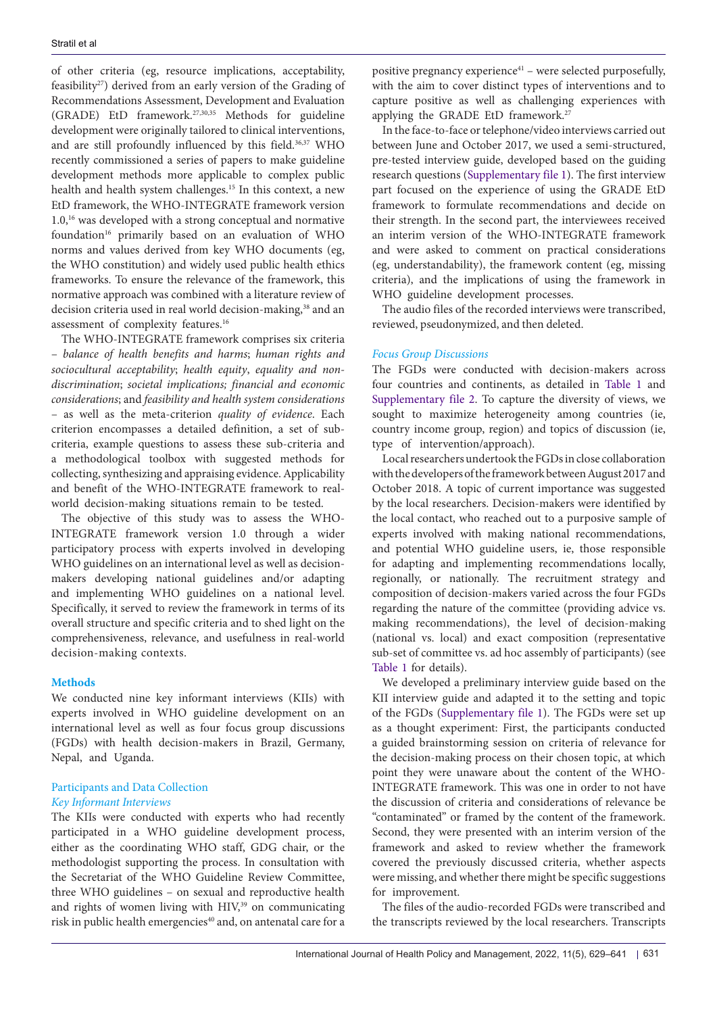of other criteria (eg, resource implications, acceptability, feasibility<sup>27</sup>) derived from an early version of the Grading of Recommendations Assessment, Development and Evaluation (GRADE) EtD framework.27,30,35 Methods for guideline development were originally tailored to clinical interventions, and are still profoundly influenced by this field.<sup>36,37</sup> WHO recently commissioned a series of papers to make guideline development methods more applicable to complex public health and health system challenges.15 In this context, a new EtD framework, the WHO-INTEGRATE framework version 1.0,16 was developed with a strong conceptual and normative foundation<sup>16</sup> primarily based on an evaluation of WHO norms and values derived from key WHO documents (eg, the WHO constitution) and widely used public health ethics frameworks. To ensure the relevance of the framework, this normative approach was combined with a literature review of decision criteria used in real world decision-making,<sup>38</sup> and an assessment of complexity features.16

The WHO-INTEGRATE framework comprises six criteria – *balance of health benefits and harms*; *human rights and sociocultural acceptability*; *health equity*, *equality and nondiscrimination*; *societal implications; financial and economic considerations*; and *feasibility and health system considerations*  – as well as the meta-criterion *quality of evidence*. Each criterion encompasses a detailed definition, a set of subcriteria, example questions to assess these sub-criteria and a methodological toolbox with suggested methods for collecting, synthesizing and appraising evidence. Applicability and benefit of the WHO-INTEGRATE framework to realworld decision-making situations remain to be tested.

The objective of this study was to assess the WHO-INTEGRATE framework version 1.0 through a wider participatory process with experts involved in developing WHO guidelines on an international level as well as decisionmakers developing national guidelines and/or adapting and implementing WHO guidelines on a national level. Specifically, it served to review the framework in terms of its overall structure and specific criteria and to shed light on the comprehensiveness, relevance, and usefulness in real-world decision-making contexts.

#### **Methods**

We conducted nine key informant interviews (KIIs) with experts involved in WHO guideline development on an international level as well as four focus group discussions (FGDs) with health decision-makers in Brazil, Germany, Nepal, and Uganda.

## Participants and Data Collection *Key Informant Interviews*

The KIIs were conducted with experts who had recently participated in a WHO guideline development process, either as the coordinating WHO staff, GDG chair, or the methodologist supporting the process. In consultation with the Secretariat of the WHO Guideline Review Committee, three WHO guidelines – on sexual and reproductive health and rights of women living with HIV,<sup>39</sup> on communicating risk in public health emergencies<sup>40</sup> and, on antenatal care for a positive pregnancy experience $41$  – were selected purposefully, with the aim to cover distinct types of interventions and to capture positive as well as challenging experiences with applying the GRADE EtD framework.<sup>27</sup>

In the face-to-face or telephone/video interviews carried out between June and October 2017, we used a semi-structured, pre-tested interview guide, developed based on the guiding research questions [\(Supplementary file 1\)](#page-10-0). The first interview part focused on the experience of using the GRADE EtD framework to formulate recommendations and decide on their strength. In the second part, the interviewees received an interim version of the WHO-INTEGRATE framework and were asked to comment on practical considerations (eg, understandability), the framework content (eg, missing criteria), and the implications of using the framework in WHO guideline development processes.

The audio files of the recorded interviews were transcribed, reviewed, pseudonymized, and then deleted.

#### *Focus Group Discussions*

The FGDs were conducted with decision-makers across four countries and continents, as detailed in [Table 1](#page-3-0) and [Supplementary file 2](#page-10-1). To capture the diversity of views, we sought to maximize heterogeneity among countries (ie, country income group, region) and topics of discussion (ie, type of intervention/approach).

Local researchers undertook the FGDs in close collaboration with the developers of the framework between August 2017 and October 2018. A topic of current importance was suggested by the local researchers. Decision-makers were identified by the local contact, who reached out to a purposive sample of experts involved with making national recommendations, and potential WHO guideline users, ie, those responsible for adapting and implementing recommendations locally, regionally, or nationally. The recruitment strategy and composition of decision-makers varied across the four FGDs regarding the nature of the committee (providing advice vs. making recommendations), the level of decision-making (national vs. local) and exact composition (representative sub-set of committee vs. ad hoc assembly of participants) (see [Table 1](#page-3-0) for details).

We developed a preliminary interview guide based on the KII interview guide and adapted it to the setting and topic of the FGDs [\(Supplementary file 1\)](#page-10-0). The FGDs were set up as a thought experiment: First, the participants conducted a guided brainstorming session on criteria of relevance for the decision-making process on their chosen topic, at which point they were unaware about the content of the WHO-INTEGRATE framework. This was one in order to not have the discussion of criteria and considerations of relevance be "contaminated" or framed by the content of the framework. Second, they were presented with an interim version of the framework and asked to review whether the framework covered the previously discussed criteria, whether aspects were missing, and whether there might be specific suggestions for improvement.

The files of the audio-recorded FGDs were transcribed and the transcripts reviewed by the local researchers. Transcripts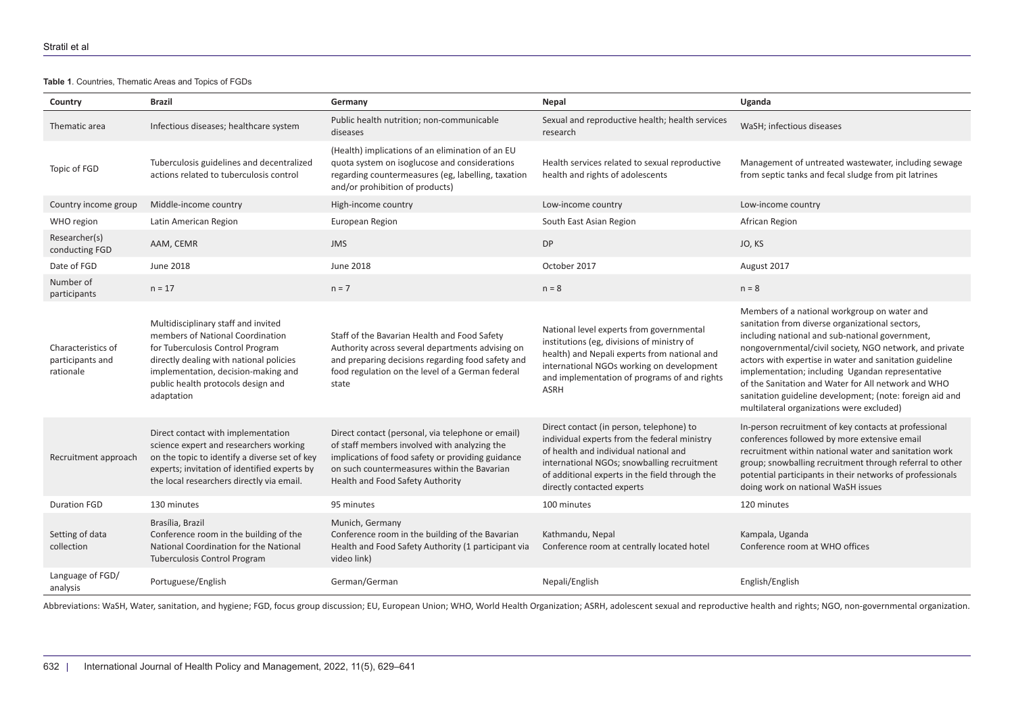**Table 1**. Countries, Thematic Areas and Topics of FGDs

| Country                                             | <b>Brazil</b>                                                                                                                                                                                                                                     | Germany                                                                                                                                                                                                                                   | Nepal                                                                                                                                                                                                                                                            | Uganda                                                                                                                                                                                                                                                                                                                                                                                                                                                                                       |
|-----------------------------------------------------|---------------------------------------------------------------------------------------------------------------------------------------------------------------------------------------------------------------------------------------------------|-------------------------------------------------------------------------------------------------------------------------------------------------------------------------------------------------------------------------------------------|------------------------------------------------------------------------------------------------------------------------------------------------------------------------------------------------------------------------------------------------------------------|----------------------------------------------------------------------------------------------------------------------------------------------------------------------------------------------------------------------------------------------------------------------------------------------------------------------------------------------------------------------------------------------------------------------------------------------------------------------------------------------|
| Thematic area                                       | Infectious diseases; healthcare system                                                                                                                                                                                                            | Public health nutrition; non-communicable<br>diseases                                                                                                                                                                                     | Sexual and reproductive health; health services<br>research                                                                                                                                                                                                      | WaSH; infectious diseases                                                                                                                                                                                                                                                                                                                                                                                                                                                                    |
| Topic of FGD                                        | Tuberculosis guidelines and decentralized<br>actions related to tuberculosis control                                                                                                                                                              | (Health) implications of an elimination of an EU<br>quota system on isoglucose and considerations<br>regarding countermeasures (eg, labelling, taxation<br>and/or prohibition of products)                                                | Health services related to sexual reproductive<br>health and rights of adolescents                                                                                                                                                                               | Management of untreated wastewater, including sewage<br>from septic tanks and fecal sludge from pit latrines                                                                                                                                                                                                                                                                                                                                                                                 |
| Country income group                                | Middle-income country                                                                                                                                                                                                                             | High-income country                                                                                                                                                                                                                       | Low-income country                                                                                                                                                                                                                                               | Low-income country                                                                                                                                                                                                                                                                                                                                                                                                                                                                           |
| WHO region                                          | Latin American Region                                                                                                                                                                                                                             | European Region                                                                                                                                                                                                                           | South East Asian Region                                                                                                                                                                                                                                          | African Region                                                                                                                                                                                                                                                                                                                                                                                                                                                                               |
| Researcher(s)<br>conducting FGD                     | AAM, CEMR                                                                                                                                                                                                                                         | <b>JMS</b>                                                                                                                                                                                                                                | <b>DP</b>                                                                                                                                                                                                                                                        | JO, KS                                                                                                                                                                                                                                                                                                                                                                                                                                                                                       |
| Date of FGD                                         | June 2018                                                                                                                                                                                                                                         | June 2018                                                                                                                                                                                                                                 | October 2017                                                                                                                                                                                                                                                     | August 2017                                                                                                                                                                                                                                                                                                                                                                                                                                                                                  |
| Number of<br>participants                           | $n = 17$                                                                                                                                                                                                                                          | $n = 7$                                                                                                                                                                                                                                   | $n = 8$                                                                                                                                                                                                                                                          | $n = 8$                                                                                                                                                                                                                                                                                                                                                                                                                                                                                      |
| Characteristics of<br>participants and<br>rationale | Multidisciplinary staff and invited<br>members of National Coordination<br>for Tuberculosis Control Program<br>directly dealing with national policies<br>implementation, decision-making and<br>public health protocols design and<br>adaptation | Staff of the Bavarian Health and Food Safety<br>Authority across several departments advising on<br>and preparing decisions regarding food safety and<br>food regulation on the level of a German federal<br>state                        | National level experts from governmental<br>institutions (eg, divisions of ministry of<br>health) and Nepali experts from national and<br>international NGOs working on development<br>and implementation of programs of and rights<br><b>ASRH</b>               | Members of a national workgroup on water and<br>sanitation from diverse organizational sectors,<br>including national and sub-national government,<br>nongovernmental/civil society, NGO network, and private<br>actors with expertise in water and sanitation guideline<br>implementation; including Ugandan representative<br>of the Sanitation and Water for All network and WHO<br>sanitation guideline development; (note: foreign aid and<br>multilateral organizations were excluded) |
| Recruitment approach                                | Direct contact with implementation<br>science expert and researchers working<br>on the topic to identify a diverse set of key<br>experts; invitation of identified experts by<br>the local researchers directly via email.                        | Direct contact (personal, via telephone or email)<br>of staff members involved with analyzing the<br>implications of food safety or providing guidance<br>on such countermeasures within the Bavarian<br>Health and Food Safety Authority | Direct contact (in person, telephone) to<br>individual experts from the federal ministry<br>of health and individual national and<br>international NGOs; snowballing recruitment<br>of additional experts in the field through the<br>directly contacted experts | In-person recruitment of key contacts at professional<br>conferences followed by more extensive email<br>recruitment within national water and sanitation work<br>group; snowballing recruitment through referral to other<br>potential participants in their networks of professionals<br>doing work on national WaSH issues                                                                                                                                                                |
| <b>Duration FGD</b>                                 | 130 minutes                                                                                                                                                                                                                                       | 95 minutes                                                                                                                                                                                                                                | 100 minutes                                                                                                                                                                                                                                                      | 120 minutes                                                                                                                                                                                                                                                                                                                                                                                                                                                                                  |
| Setting of data<br>collection                       | Brasília, Brazil<br>Conference room in the building of the<br>National Coordination for the National<br><b>Tuberculosis Control Program</b>                                                                                                       | Munich, Germany<br>Conference room in the building of the Bavarian<br>Health and Food Safety Authority (1 participant via<br>video link)                                                                                                  | Kathmandu, Nepal<br>Conference room at centrally located hotel                                                                                                                                                                                                   | Kampala, Uganda<br>Conference room at WHO offices                                                                                                                                                                                                                                                                                                                                                                                                                                            |
| Language of FGD/<br>analysis                        | Portuguese/English                                                                                                                                                                                                                                | German/German                                                                                                                                                                                                                             | Nepali/English                                                                                                                                                                                                                                                   | English/English                                                                                                                                                                                                                                                                                                                                                                                                                                                                              |

<span id="page-3-0"></span>Abbreviations: WaSH, Water, sanitation, and hygiene; FGD, focus group discussion; EU, European Union; WHO, World Health Organization; ASRH, adolescent sexual and reproductive health and rights; NGO, non-governmental organi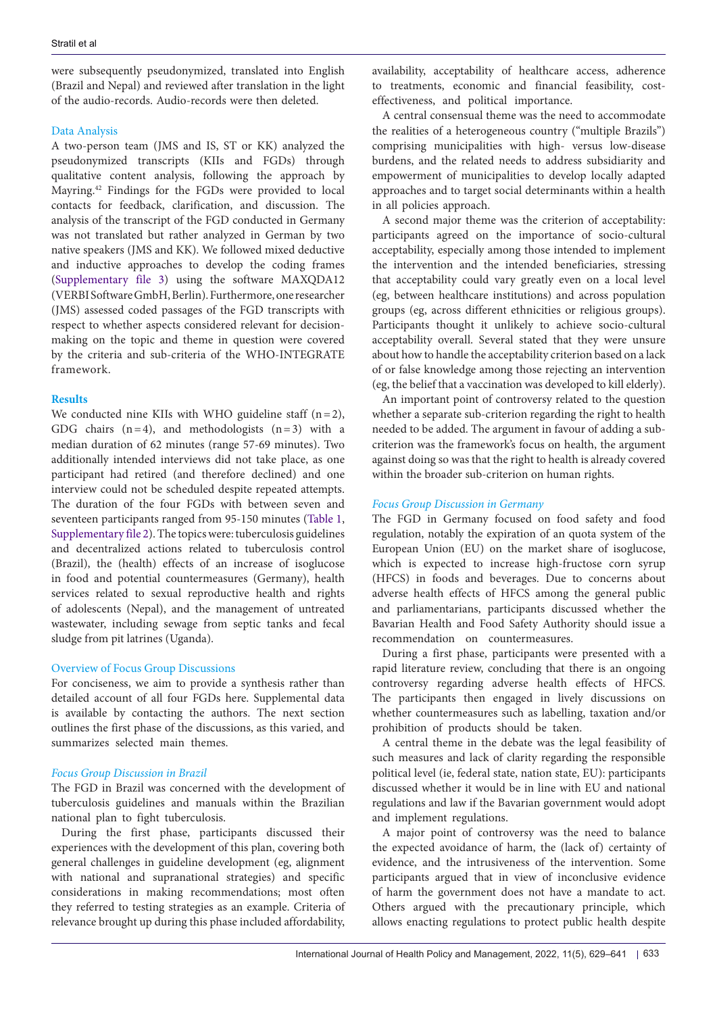were subsequently pseudonymized, translated into English (Brazil and Nepal) and reviewed after translation in the light of the audio-records. Audio-records were then deleted.

#### Data Analysis

A two-person team (JMS and IS, ST or KK) analyzed the pseudonymized transcripts (KIIs and FGDs) through qualitative content analysis, following the approach by Mayring.42 Findings for the FGDs were provided to local contacts for feedback, clarification, and discussion. The analysis of the transcript of the FGD conducted in Germany was not translated but rather analyzed in German by two native speakers (JMS and KK). We followed mixed deductive and inductive approaches to develop the coding frames ([Supplementary file 3\)](#page-10-2) using the software MAXQDA12 (VERBI Software GmbH, Berlin). Furthermore, one researcher (JMS) assessed coded passages of the FGD transcripts with respect to whether aspects considered relevant for decisionmaking on the topic and theme in question were covered by the criteria and sub-criteria of the WHO-INTEGRATE framework.

#### **Results**

We conducted nine KIIs with WHO guideline staff  $(n=2)$ , GDG chairs  $(n=4)$ , and methodologists  $(n=3)$  with a median duration of 62 minutes (range 57-69 minutes). Two additionally intended interviews did not take place, as one participant had retired (and therefore declined) and one interview could not be scheduled despite repeated attempts. The duration of the four FGDs with between seven and seventeen participants ranged from 95-150 minutes [\(Table 1](#page-3-0), [Supplementary file 2](#page-10-1)). The topics were: tuberculosis guidelines and decentralized actions related to tuberculosis control (Brazil), the (health) effects of an increase of isoglucose in food and potential countermeasures (Germany), health services related to sexual reproductive health and rights of adolescents (Nepal), and the management of untreated wastewater, including sewage from septic tanks and fecal sludge from pit latrines (Uganda).

#### Overview of Focus Group Discussions

For conciseness, we aim to provide a synthesis rather than detailed account of all four FGDs here. Supplemental data is available by contacting the authors. The next section outlines the first phase of the discussions, as this varied, and summarizes selected main themes.

#### *Focus Group Discussion in Brazil*

The FGD in Brazil was concerned with the development of tuberculosis guidelines and manuals within the Brazilian national plan to fight tuberculosis.

During the first phase, participants discussed their experiences with the development of this plan, covering both general challenges in guideline development (eg, alignment with national and supranational strategies) and specific considerations in making recommendations; most often they referred to testing strategies as an example. Criteria of relevance brought up during this phase included affordability, availability, acceptability of healthcare access, adherence to treatments, economic and financial feasibility, costeffectiveness, and political importance.

A central consensual theme was the need to accommodate the realities of a heterogeneous country ("multiple Brazils") comprising municipalities with high- versus low-disease burdens, and the related needs to address subsidiarity and empowerment of municipalities to develop locally adapted approaches and to target social determinants within a health in all policies approach.

A second major theme was the criterion of acceptability: participants agreed on the importance of socio-cultural acceptability, especially among those intended to implement the intervention and the intended beneficiaries, stressing that acceptability could vary greatly even on a local level (eg, between healthcare institutions) and across population groups (eg, across different ethnicities or religious groups). Participants thought it unlikely to achieve socio-cultural acceptability overall. Several stated that they were unsure about how to handle the acceptability criterion based on a lack of or false knowledge among those rejecting an intervention (eg, the belief that a vaccination was developed to kill elderly).

An important point of controversy related to the question whether a separate sub-criterion regarding the right to health needed to be added. The argument in favour of adding a subcriterion was the framework's focus on health, the argument against doing so was that the right to health is already covered within the broader sub-criterion on human rights.

#### *Focus Group Discussion in Germany*

The FGD in Germany focused on food safety and food regulation, notably the expiration of an quota system of the European Union (EU) on the market share of isoglucose, which is expected to increase high-fructose corn syrup (HFCS) in foods and beverages. Due to concerns about adverse health effects of HFCS among the general public and parliamentarians, participants discussed whether the Bavarian Health and Food Safety Authority should issue a recommendation on countermeasures.

During a first phase, participants were presented with a rapid literature review, concluding that there is an ongoing controversy regarding adverse health effects of HFCS. The participants then engaged in lively discussions on whether countermeasures such as labelling, taxation and/or prohibition of products should be taken.

A central theme in the debate was the legal feasibility of such measures and lack of clarity regarding the responsible political level (ie, federal state, nation state, EU): participants discussed whether it would be in line with EU and national regulations and law if the Bavarian government would adopt and implement regulations.

A major point of controversy was the need to balance the expected avoidance of harm, the (lack of) certainty of evidence, and the intrusiveness of the intervention. Some participants argued that in view of inconclusive evidence of harm the government does not have a mandate to act. Others argued with the precautionary principle, which allows enacting regulations to protect public health despite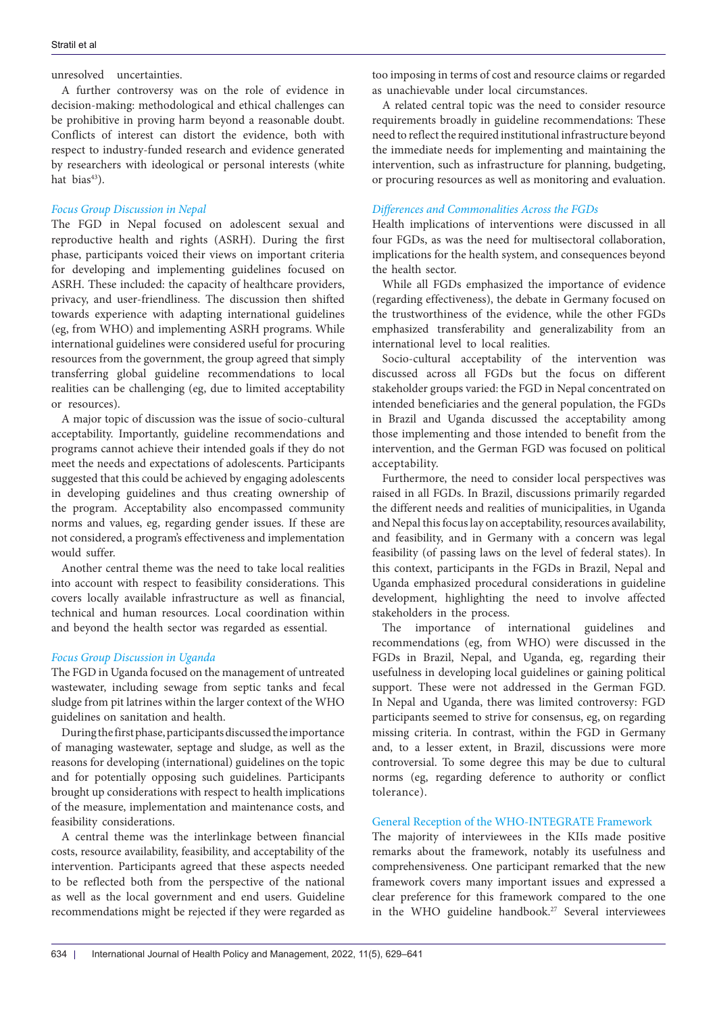#### unresolved uncertainties.

A further controversy was on the role of evidence in decision-making: methodological and ethical challenges can be prohibitive in proving harm beyond a reasonable doubt. Conflicts of interest can distort the evidence, both with respect to industry-funded research and evidence generated by researchers with ideological or personal interests (white hat bias<sup>43</sup>).

#### *Focus Group Discussion in Nepal*

The FGD in Nepal focused on adolescent sexual and reproductive health and rights (ASRH). During the first phase, participants voiced their views on important criteria for developing and implementing guidelines focused on ASRH. These included: the capacity of healthcare providers, privacy, and user-friendliness. The discussion then shifted towards experience with adapting international guidelines (eg, from WHO) and implementing ASRH programs. While international guidelines were considered useful for procuring resources from the government, the group agreed that simply transferring global guideline recommendations to local realities can be challenging (eg, due to limited acceptability or resources).

A major topic of discussion was the issue of socio-cultural acceptability. Importantly, guideline recommendations and programs cannot achieve their intended goals if they do not meet the needs and expectations of adolescents. Participants suggested that this could be achieved by engaging adolescents in developing guidelines and thus creating ownership of the program. Acceptability also encompassed community norms and values, eg, regarding gender issues. If these are not considered, a program's effectiveness and implementation would suffer.

Another central theme was the need to take local realities into account with respect to feasibility considerations. This covers locally available infrastructure as well as financial, technical and human resources. Local coordination within and beyond the health sector was regarded as essential.

#### *Focus Group Discussion in Uganda*

The FGD in Uganda focused on the management of untreated wastewater, including sewage from septic tanks and fecal sludge from pit latrines within the larger context of the WHO guidelines on sanitation and health.

During the first phase, participants discussed the importance of managing wastewater, septage and sludge, as well as the reasons for developing (international) guidelines on the topic and for potentially opposing such guidelines. Participants brought up considerations with respect to health implications of the measure, implementation and maintenance costs, and feasibility considerations.

A central theme was the interlinkage between financial costs, resource availability, feasibility, and acceptability of the intervention. Participants agreed that these aspects needed to be reflected both from the perspective of the national as well as the local government and end users. Guideline recommendations might be rejected if they were regarded as

too imposing in terms of cost and resource claims or regarded as unachievable under local circumstances.

A related central topic was the need to consider resource requirements broadly in guideline recommendations: These need to reflect the required institutional infrastructure beyond the immediate needs for implementing and maintaining the intervention, such as infrastructure for planning, budgeting, or procuring resources as well as monitoring and evaluation.

### *Differences and Commonalities Across the FGDs*

Health implications of interventions were discussed in all four FGDs, as was the need for multisectoral collaboration, implications for the health system, and consequences beyond the health sector.

While all FGDs emphasized the importance of evidence (regarding effectiveness), the debate in Germany focused on the trustworthiness of the evidence, while the other FGDs emphasized transferability and generalizability from an international level to local realities.

Socio-cultural acceptability of the intervention was discussed across all FGDs but the focus on different stakeholder groups varied: the FGD in Nepal concentrated on intended beneficiaries and the general population, the FGDs in Brazil and Uganda discussed the acceptability among those implementing and those intended to benefit from the intervention, and the German FGD was focused on political acceptability.

Furthermore, the need to consider local perspectives was raised in all FGDs. In Brazil, discussions primarily regarded the different needs and realities of municipalities, in Uganda and Nepal this focus lay on acceptability, resources availability, and feasibility, and in Germany with a concern was legal feasibility (of passing laws on the level of federal states). In this context, participants in the FGDs in Brazil, Nepal and Uganda emphasized procedural considerations in guideline development, highlighting the need to involve affected stakeholders in the process.

The importance of international guidelines and recommendations (eg, from WHO) were discussed in the FGDs in Brazil, Nepal, and Uganda, eg, regarding their usefulness in developing local guidelines or gaining political support. These were not addressed in the German FGD. In Nepal and Uganda, there was limited controversy: FGD participants seemed to strive for consensus, eg, on regarding missing criteria. In contrast, within the FGD in Germany and, to a lesser extent, in Brazil, discussions were more controversial. To some degree this may be due to cultural norms (eg, regarding deference to authority or conflict tolerance).

### General Reception of the WHO-INTEGRATE Framework

The majority of interviewees in the KIIs made positive remarks about the framework, notably its usefulness and comprehensiveness. One participant remarked that the new framework covers many important issues and expressed a clear preference for this framework compared to the one in the WHO guideline handbook.<sup>27</sup> Several interviewees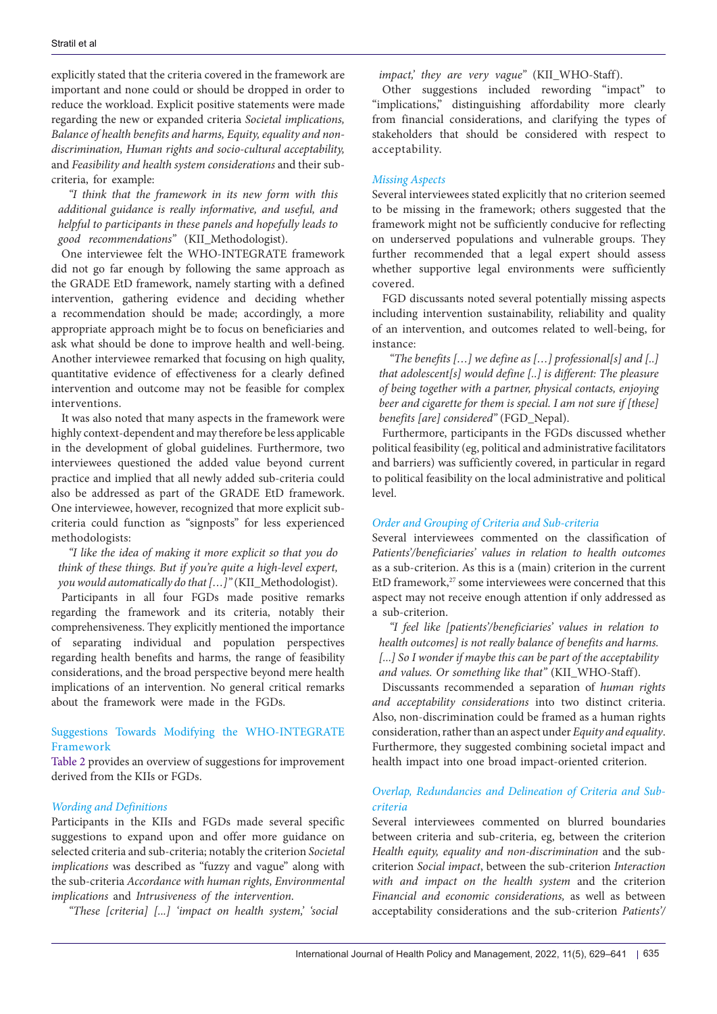explicitly stated that the criteria covered in the framework are important and none could or should be dropped in order to reduce the workload. Explicit positive statements were made regarding the new or expanded criteria *Societal implications, Balance of health benefits and harms, Equity, equality and nondiscrimination, Human rights and socio-cultural acceptability,*  and *Feasibility and health system considerations* and their subcriteria, for example:

*"I think that the framework in its new form with this additional guidance is really informative, and useful, and helpful to participants in these panels and hopefully leads to good recommendations"* (KII\_Methodologist).

One interviewee felt the WHO-INTEGRATE framework did not go far enough by following the same approach as the GRADE EtD framework, namely starting with a defined intervention, gathering evidence and deciding whether a recommendation should be made; accordingly, a more appropriate approach might be to focus on beneficiaries and ask what should be done to improve health and well-being. Another interviewee remarked that focusing on high quality, quantitative evidence of effectiveness for a clearly defined intervention and outcome may not be feasible for complex interventions.

It was also noted that many aspects in the framework were highly context-dependent and may therefore be less applicable in the development of global guidelines. Furthermore, two interviewees questioned the added value beyond current practice and implied that all newly added sub-criteria could also be addressed as part of the GRADE EtD framework. One interviewee, however, recognized that more explicit subcriteria could function as "signposts" for less experienced methodologists:

*"I like the idea of making it more explicit so that you do think of these things. But if you're quite a high-level expert, you would automatically do that […]"* (KII\_Methodologist).

Participants in all four FGDs made positive remarks regarding the framework and its criteria, notably their comprehensiveness. They explicitly mentioned the importance of separating individual and population perspectives regarding health benefits and harms, the range of feasibility considerations, and the broad perspective beyond mere health implications of an intervention. No general critical remarks about the framework were made in the FGDs.

## Suggestions Towards Modifying the WHO-INTEGRATE Framework

[Table 2](#page-7-0) provides an overview of suggestions for improvement derived from the KIIs or FGDs.

#### *Wording and Definitions*

Participants in the KIIs and FGDs made several specific suggestions to expand upon and offer more guidance on selected criteria and sub-criteria; notably the criterion *Societal implications* was described as "fuzzy and vague" along with the sub-criteria *Accordance with human rights, Environmental implications* and *Intrusiveness of the intervention*.

*"These [criteria] [...] 'impact on health system,' 'social* 

*impact,' they are very vague"* (KII\_WHO-Staff).

Other suggestions included rewording "impact" to "implications," distinguishing affordability more clearly from financial considerations, and clarifying the types of stakeholders that should be considered with respect to acceptability.

#### *Missing Aspects*

Several interviewees stated explicitly that no criterion seemed to be missing in the framework; others suggested that the framework might not be sufficiently conducive for reflecting on underserved populations and vulnerable groups. They further recommended that a legal expert should assess whether supportive legal environments were sufficiently covered.

FGD discussants noted several potentially missing aspects including intervention sustainability, reliability and quality of an intervention, and outcomes related to well-being, for instance:

*"The benefits […] we define as […] professional[s] and [..] that adolescent[s] would define [..] is different: The pleasure of being together with a partner, physical contacts, enjoying beer and cigarette for them is special. I am not sure if [these] benefits [are] considered"* (FGD\_Nepal).

Furthermore, participants in the FGDs discussed whether political feasibility (eg, political and administrative facilitators and barriers) was sufficiently covered, in particular in regard to political feasibility on the local administrative and political level.

#### *Order and Grouping of Criteria and Sub-criteria*

Several interviewees commented on the classification of *Patients'/beneficiaries' values in relation to health outcomes* as a sub-criterion. As this is a (main) criterion in the current EtD framework, $27$  some interviewees were concerned that this aspect may not receive enough attention if only addressed as a sub-criterion.

*"I feel like [patients'/beneficiaries' values in relation to health outcomes] is not really balance of benefits and harms. [...] So I wonder if maybe this can be part of the acceptability and values. Or something like that"* (KII\_WHO-Staff).

Discussants recommended a separation of *human rights and acceptability considerations* into two distinct criteria. Also, non-discrimination could be framed as a human rights consideration, rather than an aspect under *Equity and equality*. Furthermore, they suggested combining societal impact and health impact into one broad impact-oriented criterion.

## *Overlap, Redundancies and Delineation of Criteria and Subcriteria*

Several interviewees commented on blurred boundaries between criteria and sub-criteria, eg, between the criterion *Health equity, equality and non-discrimination* and the subcriterion *Social impact*, between the sub-criterion *Interaction with and impact on the health system* and the criterion *Financial and economic considerations,* as well as between acceptability considerations and the sub-criterion *Patients'/*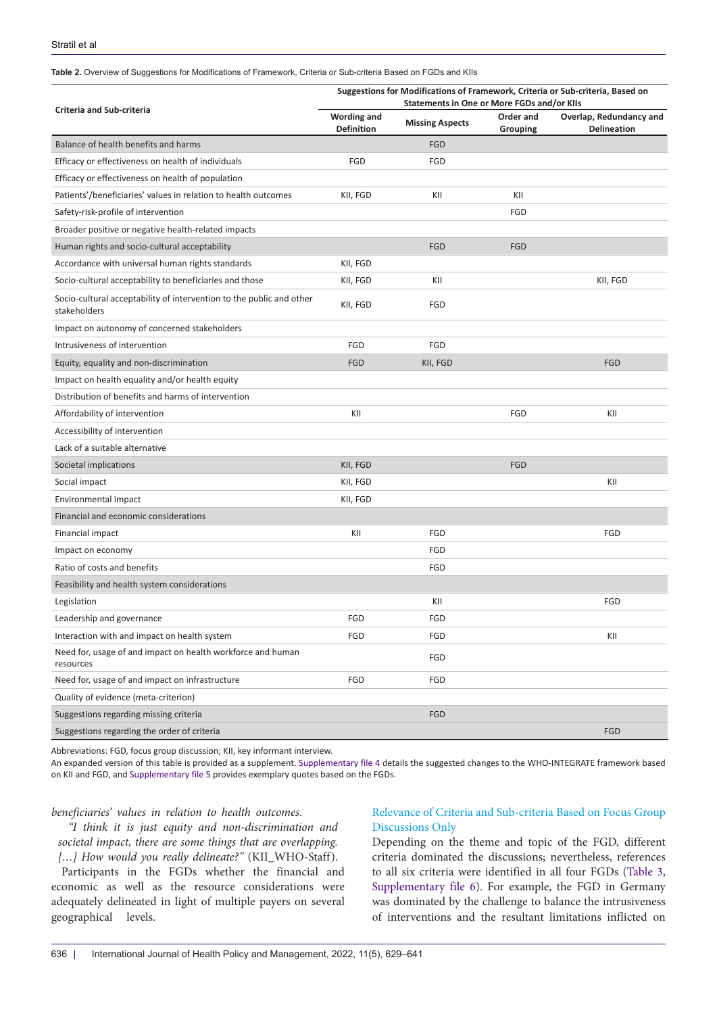#### <span id="page-7-0"></span>**Table 2.** Overview of Suggestions for Modifications of Framework, Criteria or Sub-criteria Based on FGDs and KIIs

|                                                                                      | Suggestions for Modifications of Framework, Criteria or Sub-criteria, Based on<br>Statements in One or More FGDs and/or KIIs |                        |                       |                                               |  |
|--------------------------------------------------------------------------------------|------------------------------------------------------------------------------------------------------------------------------|------------------------|-----------------------|-----------------------------------------------|--|
| <b>Criteria and Sub-criteria</b>                                                     | <b>Wording and</b><br><b>Definition</b>                                                                                      | <b>Missing Aspects</b> | Order and<br>Grouping | Overlap, Redundancy and<br><b>Delineation</b> |  |
| Balance of health benefits and harms                                                 |                                                                                                                              | <b>FGD</b>             |                       |                                               |  |
| Efficacy or effectiveness on health of individuals                                   | FGD                                                                                                                          | FGD                    |                       |                                               |  |
| Efficacy or effectiveness on health of population                                    |                                                                                                                              |                        |                       |                                               |  |
| Patients'/beneficiaries' values in relation to health outcomes                       | KII, FGD                                                                                                                     | KII                    | KII                   |                                               |  |
| Safety-risk-profile of intervention                                                  |                                                                                                                              |                        | FGD                   |                                               |  |
| Broader positive or negative health-related impacts                                  |                                                                                                                              |                        |                       |                                               |  |
| Human rights and socio-cultural acceptability                                        |                                                                                                                              | <b>FGD</b>             | <b>FGD</b>            |                                               |  |
| Accordance with universal human rights standards                                     | KII, FGD                                                                                                                     |                        |                       |                                               |  |
| Socio-cultural acceptability to beneficiaries and those                              | KII, FGD                                                                                                                     | KII                    |                       | KII, FGD                                      |  |
| Socio-cultural acceptability of intervention to the public and other<br>stakeholders | KII, FGD                                                                                                                     | FGD                    |                       |                                               |  |
| Impact on autonomy of concerned stakeholders                                         |                                                                                                                              |                        |                       |                                               |  |
| Intrusiveness of intervention                                                        | FGD                                                                                                                          | FGD                    |                       |                                               |  |
| Equity, equality and non-discrimination                                              | <b>FGD</b>                                                                                                                   | KII, FGD               |                       | <b>FGD</b>                                    |  |
| Impact on health equality and/or health equity                                       |                                                                                                                              |                        |                       |                                               |  |
| Distribution of benefits and harms of intervention                                   |                                                                                                                              |                        |                       |                                               |  |
| Affordability of intervention                                                        | KII                                                                                                                          |                        | FGD                   | KII                                           |  |
| Accessibility of intervention                                                        |                                                                                                                              |                        |                       |                                               |  |
| Lack of a suitable alternative                                                       |                                                                                                                              |                        |                       |                                               |  |
| Societal implications                                                                | KII, FGD                                                                                                                     |                        | <b>FGD</b>            |                                               |  |
| Social impact                                                                        | KII, FGD                                                                                                                     |                        |                       | KII                                           |  |
| Environmental impact                                                                 | KII, FGD                                                                                                                     |                        |                       |                                               |  |
| Financial and economic considerations                                                |                                                                                                                              |                        |                       |                                               |  |
| Financial impact                                                                     | KII                                                                                                                          | FGD                    |                       | FGD                                           |  |
| Impact on economy                                                                    |                                                                                                                              | FGD                    |                       |                                               |  |
| Ratio of costs and benefits                                                          |                                                                                                                              | FGD                    |                       |                                               |  |
| Feasibility and health system considerations                                         |                                                                                                                              |                        |                       |                                               |  |
| Legislation                                                                          |                                                                                                                              | KII                    |                       | FGD                                           |  |
| Leadership and governance                                                            | FGD                                                                                                                          | FGD                    |                       |                                               |  |
| Interaction with and impact on health system                                         | FGD                                                                                                                          | FGD                    |                       | KII                                           |  |
| Need for, usage of and impact on health workforce and human<br>resources             |                                                                                                                              | FGD                    |                       |                                               |  |
| Need for, usage of and impact on infrastructure                                      | FGD                                                                                                                          | FGD                    |                       |                                               |  |
| Quality of evidence (meta-criterion)                                                 |                                                                                                                              |                        |                       |                                               |  |
| Suggestions regarding missing criteria                                               |                                                                                                                              | FGD                    |                       |                                               |  |
| Suggestions regarding the order of criteria                                          |                                                                                                                              |                        |                       | FGD                                           |  |

Abbreviations: FGD, focus group discussion; KII, key informant interview.

An expanded version of this table is provided as a supplement. [Supplementary file 4](#page-11-0) details the suggested changes to the WHO-INTEGRATE framework based on KII and FGD, and [Supplementary file 5](#page-11-1) provides exemplary quotes based on the FGDs.

#### *beneficiaries' values in relation to health outcomes*.

*"I think it is just equity and non-discrimination and societal impact, there are some things that are overlapping. […] How would you really delineate?"* (KII\_WHO-Staff).

Participants in the FGDs whether the financial and economic as well as the resource considerations were adequately delineated in light of multiple payers on several geographical levels.

#### Relevance of Criteria and Sub-criteria Based on Focus Group Discussions Only

Depending on the theme and topic of the FGD, different criteria dominated the discussions; nevertheless, references to all six criteria were identified in all four FGDs ([Table 3](#page-8-0), [Supplementary file 6](#page-11-2)). For example, the FGD in Germany was dominated by the challenge to balance the intrusiveness of interventions and the resultant limitations inflicted on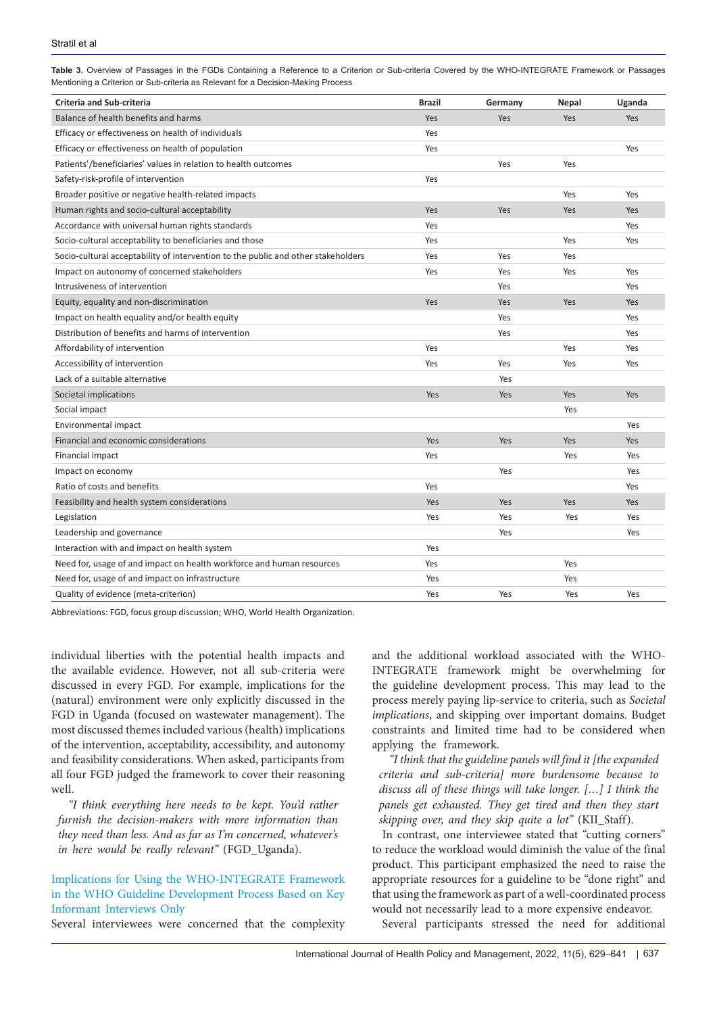| <b>Criteria and Sub-criteria</b>                                                  | <b>Brazil</b> | Germany | <b>Nepal</b> | Uganda     |
|-----------------------------------------------------------------------------------|---------------|---------|--------------|------------|
| Balance of health benefits and harms                                              | Yes           | Yes     | Yes          | <b>Yes</b> |
| Efficacy or effectiveness on health of individuals                                | Yes           |         |              |            |
| Efficacy or effectiveness on health of population                                 | Yes           |         |              | Yes        |
| Patients'/beneficiaries' values in relation to health outcomes                    |               | Yes     | Yes          |            |
| Safety-risk-profile of intervention                                               | Yes           |         |              |            |
| Broader positive or negative health-related impacts                               |               |         | Yes          | Yes        |
| Human rights and socio-cultural acceptability                                     | Yes           | Yes     | Yes          | <b>Yes</b> |
| Accordance with universal human rights standards                                  | Yes           |         |              | Yes        |
| Socio-cultural acceptability to beneficiaries and those                           | Yes           |         | Yes          | Yes        |
| Socio-cultural acceptability of intervention to the public and other stakeholders | Yes           | Yes     | Yes          |            |
| Impact on autonomy of concerned stakeholders                                      | Yes           | Yes     | Yes          | Yes        |
| Intrusiveness of intervention                                                     |               | Yes     |              | Yes        |
| Equity, equality and non-discrimination                                           | Yes           | Yes     | Yes          | Yes        |
| Impact on health equality and/or health equity                                    |               | Yes     |              | Yes        |
| Distribution of benefits and harms of intervention                                |               | Yes     |              | Yes        |
| Affordability of intervention                                                     | Yes           |         | Yes          | Yes        |
| Accessibility of intervention                                                     | Yes           | Yes     | Yes          | Yes        |
| Lack of a suitable alternative                                                    |               | Yes     |              |            |
| Societal implications                                                             | Yes           | Yes     | Yes          | Yes        |
| Social impact                                                                     |               |         | Yes          |            |
| Environmental impact                                                              |               |         |              | Yes        |
| Financial and economic considerations                                             | Yes           | Yes     | Yes          | Yes        |
| Financial impact                                                                  | Yes           |         | Yes          | Yes        |
| Impact on economy                                                                 |               | Yes     |              | Yes        |
|                                                                                   |               |         |              |            |

Ratio of costs and benefits Yes Yes Feasibility and health system considerations Theorem Constitutions of the Yes Yes Yes Yes Yes Yes Yes Yes Yes Legislation Yes Yes Yes Yes Leadership and governance Yes Yes

Quality of evidence (meta-criterion) Yes Yes Yes Yes

Need for, usage of and impact on health workforce and human resources Yes Yes Yes Yes Yes Yes Need for, usage of and impact on infrastructure Ves Theorem 2008 and the Ves Yes Yes Yes Yes Yes Yes Yes Yes Yes

<span id="page-8-0"></span>**Table 3.** Overview of Passages in the FGDs Containing a Reference to a Criterion or Sub-criteria Covered by the WHO-INTEGRATE Framework or Passages Mentioning a Criterion or Sub-criteria as Relevant for a Decision-Making Process

Abbreviations: FGD, focus group discussion; WHO, World Health Organization.

Interaction with and impact on health system Vesteral Analysis of Vesteral Analysis of Vesteral Analysis of Ves

individual liberties with the potential health impacts and the available evidence. However, not all sub-criteria were discussed in every FGD. For example, implications for the (natural) environment were only explicitly discussed in the FGD in Uganda (focused on wastewater management). The most discussed themes included various (health) implications of the intervention, acceptability, accessibility, and autonomy and feasibility considerations. When asked, participants from all four FGD judged the framework to cover their reasoning well.

*"I think everything here needs to be kept. You'd rather furnish the decision-makers with more information than they need than less. And as far as I'm concerned, whatever's in here would be really relevant"* (FGD\_Uganda).

## Implications for Using the WHO-INTEGRATE Framework in the WHO Guideline Development Process Based on Key Informant Interviews Only

Several interviewees were concerned that the complexity

and the additional workload associated with the WHO-INTEGRATE framework might be overwhelming for the guideline development process. This may lead to the process merely paying lip-service to criteria, such as *Societal implications*, and skipping over important domains. Budget constraints and limited time had to be considered when applying the framework.

*"I think that the guideline panels will find it [the expanded criteria and sub-criteria] more burdensome because to discuss all of these things will take longer. […] I think the panels get exhausted. They get tired and then they start skipping over, and they skip quite a lot"* (KII\_Staff).

In contrast, one interviewee stated that "cutting corners" to reduce the workload would diminish the value of the final product. This participant emphasized the need to raise the appropriate resources for a guideline to be "done right" and that using the framework as part of a well-coordinated process would not necessarily lead to a more expensive endeavor.

Several participants stressed the need for additional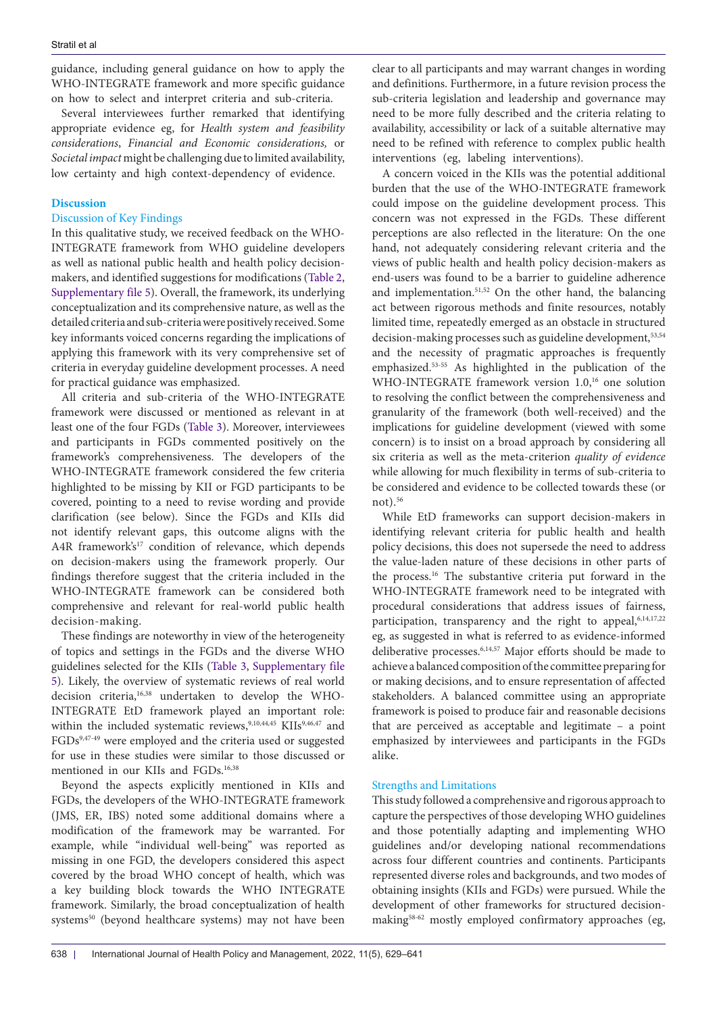guidance, including general guidance on how to apply the WHO-INTEGRATE framework and more specific guidance on how to select and interpret criteria and sub-criteria.

Several interviewees further remarked that identifying appropriate evidence eg, for *Health system and feasibility considerations*, *Financial and Economic considerations,* or *Societal impact* might be challenging due to limited availability, low certainty and high context-dependency of evidence.

#### **Discussion**

#### Discussion of Key Findings

In this qualitative study, we received feedback on the WHO-INTEGRATE framework from WHO guideline developers as well as national public health and health policy decisionmakers, and identified suggestions for modifications ([Table 2](#page-7-0), [Supplementary file 5](#page-11-1)). Overall, the framework, its underlying conceptualization and its comprehensive nature, as well as the detailed criteria and sub-criteria were positively received. Some key informants voiced concerns regarding the implications of applying this framework with its very comprehensive set of criteria in everyday guideline development processes. A need for practical guidance was emphasized.

All criteria and sub-criteria of the WHO-INTEGRATE framework were discussed or mentioned as relevant in at least one of the four FGDs ([Table 3\)](#page-8-0). Moreover, interviewees and participants in FGDs commented positively on the framework's comprehensiveness. The developers of the WHO-INTEGRATE framework considered the few criteria highlighted to be missing by KII or FGD participants to be covered, pointing to a need to revise wording and provide clarification (see below). Since the FGDs and KIIs did not identify relevant gaps, this outcome aligns with the A4R framework's<sup>17</sup> condition of relevance, which depends on decision-makers using the framework properly. Our findings therefore suggest that the criteria included in the WHO-INTEGRATE framework can be considered both comprehensive and relevant for real-world public health decision-making.

These findings are noteworthy in view of the heterogeneity of topics and settings in the FGDs and the diverse WHO guidelines selected for the KIIs [\(Table 3,](#page-8-0) [Supplementary file](#page-11-1) [5](#page-11-1)). Likely, the overview of systematic reviews of real world decision criteria,16,38 undertaken to develop the WHO-INTEGRATE EtD framework played an important role: within the included systematic reviews,  $9,10,44,45$  KIIs  $9,46,47$  and FGDs<sup>9,47-49</sup> were employed and the criteria used or suggested for use in these studies were similar to those discussed or mentioned in our KIIs and FGDs.<sup>16,38</sup>

Beyond the aspects explicitly mentioned in KIIs and FGDs, the developers of the WHO-INTEGRATE framework (JMS, ER, IBS) noted some additional domains where a modification of the framework may be warranted. For example, while "individual well-being" was reported as missing in one FGD, the developers considered this aspect covered by the broad WHO concept of health, which was a key building block towards the WHO INTEGRATE framework. Similarly, the broad conceptualization of health systems<sup>50</sup> (beyond healthcare systems) may not have been clear to all participants and may warrant changes in wording and definitions. Furthermore, in a future revision process the sub-criteria legislation and leadership and governance may need to be more fully described and the criteria relating to availability, accessibility or lack of a suitable alternative may need to be refined with reference to complex public health interventions (eg, labeling interventions).

A concern voiced in the KIIs was the potential additional burden that the use of the WHO-INTEGRATE framework could impose on the guideline development process. This concern was not expressed in the FGDs. These different perceptions are also reflected in the literature: On the one hand, not adequately considering relevant criteria and the views of public health and health policy decision-makers as end-users was found to be a barrier to guideline adherence and implementation.<sup>51,52</sup> On the other hand, the balancing act between rigorous methods and finite resources, notably limited time, repeatedly emerged as an obstacle in structured decision-making processes such as guideline development,<sup>53,54</sup> and the necessity of pragmatic approaches is frequently emphasized.53-55 As highlighted in the publication of the WHO-INTEGRATE framework version 1.0,<sup>16</sup> one solution to resolving the conflict between the comprehensiveness and granularity of the framework (both well-received) and the implications for guideline development (viewed with some concern) is to insist on a broad approach by considering all six criteria as well as the meta-criterion *quality of evidence* while allowing for much flexibility in terms of sub-criteria to be considered and evidence to be collected towards these (or not $)$ .<sup>56</sup>

While EtD frameworks can support decision-makers in identifying relevant criteria for public health and health policy decisions, this does not supersede the need to address the value-laden nature of these decisions in other parts of the process.16 The substantive criteria put forward in the WHO-INTEGRATE framework need to be integrated with procedural considerations that address issues of fairness, participation, transparency and the right to appeal, 6,14,17,22 eg, as suggested in what is referred to as evidence-informed deliberative processes.6,14,57 Major efforts should be made to achieve a balanced composition of the committee preparing for or making decisions, and to ensure representation of affected stakeholders. A balanced committee using an appropriate framework is poised to produce fair and reasonable decisions that are perceived as acceptable and legitimate – a point emphasized by interviewees and participants in the FGDs alike.

## Strengths and Limitations

This study followed a comprehensive and rigorous approach to capture the perspectives of those developing WHO guidelines and those potentially adapting and implementing WHO guidelines and/or developing national recommendations across four different countries and continents. Participants represented diverse roles and backgrounds, and two modes of obtaining insights (KIIs and FGDs) were pursued. While the development of other frameworks for structured decisionmaking58-62 mostly employed confirmatory approaches (eg,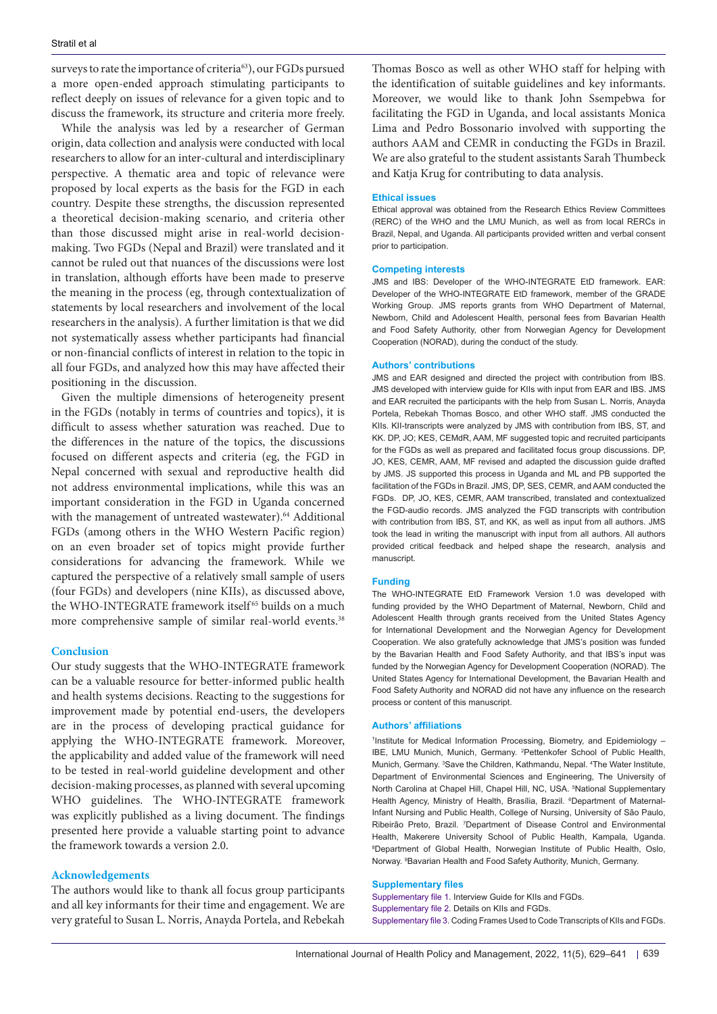surveys to rate the importance of criteria<sup>63</sup>), our FGDs pursued a more open-ended approach stimulating participants to reflect deeply on issues of relevance for a given topic and to discuss the framework, its structure and criteria more freely.

While the analysis was led by a researcher of German origin, data collection and analysis were conducted with local researchers to allow for an inter-cultural and interdisciplinary perspective. A thematic area and topic of relevance were proposed by local experts as the basis for the FGD in each country. Despite these strengths, the discussion represented a theoretical decision-making scenario, and criteria other than those discussed might arise in real-world decisionmaking. Two FGDs (Nepal and Brazil) were translated and it cannot be ruled out that nuances of the discussions were lost in translation, although efforts have been made to preserve the meaning in the process (eg, through contextualization of statements by local researchers and involvement of the local researchers in the analysis). A further limitation is that we did not systematically assess whether participants had financial or non-financial conflicts of interest in relation to the topic in all four FGDs, and analyzed how this may have affected their positioning in the discussion.

Given the multiple dimensions of heterogeneity present in the FGDs (notably in terms of countries and topics), it is difficult to assess whether saturation was reached. Due to the differences in the nature of the topics, the discussions focused on different aspects and criteria (eg, the FGD in Nepal concerned with sexual and reproductive health did not address environmental implications, while this was an important consideration in the FGD in Uganda concerned with the management of untreated wastewater).<sup>64</sup> Additional FGDs (among others in the WHO Western Pacific region) on an even broader set of topics might provide further considerations for advancing the framework. While we captured the perspective of a relatively small sample of users (four FGDs) and developers (nine KIIs), as discussed above, the WHO-INTEGRATE framework itself<sup>65</sup> builds on a much more comprehensive sample of similar real-world events.<sup>38</sup>

#### **Conclusion**

Our study suggests that the WHO-INTEGRATE framework can be a valuable resource for better-informed public health and health systems decisions. Reacting to the suggestions for improvement made by potential end-users, the developers are in the process of developing practical guidance for applying the WHO-INTEGRATE framework. Moreover, the applicability and added value of the framework will need to be tested in real-world guideline development and other decision-making processes, as planned with several upcoming WHO guidelines. The WHO-INTEGRATE framework was explicitly published as a living document. The findings presented here provide a valuable starting point to advance the framework towards a version 2.0.

#### **Acknowledgements**

The authors would like to thank all focus group participants and all key informants for their time and engagement. We are very grateful to Susan L. Norris, Anayda Portela, and Rebekah Thomas Bosco as well as other WHO staff for helping with the identification of suitable guidelines and key informants. Moreover, we would like to thank John Ssempebwa for facilitating the FGD in Uganda, and local assistants Monica Lima and Pedro Bossonario involved with supporting the authors AAM and CEMR in conducting the FGDs in Brazil. We are also grateful to the student assistants Sarah Thumbeck and Katja Krug for contributing to data analysis.

#### **Ethical issues**

Ethical approval was obtained from the Research Ethics Review Committees (RERC) of the WHO and the LMU Munich, as well as from local RERCs in Brazil, Nepal, and Uganda. All participants provided written and verbal consent prior to participation.

#### **Competing interests**

JMS and IBS: Developer of the WHO-INTEGRATE EtD framework. EAR: Developer of the WHO-INTEGRATE EtD framework, member of the GRADE Working Group. JMS reports grants from WHO Department of Maternal, Newborn, Child and Adolescent Health, personal fees from Bavarian Health and Food Safety Authority, other from Norwegian Agency for Development Cooperation (NORAD), during the conduct of the study.

#### **Authors' contributions**

JMS and EAR designed and directed the project with contribution from IBS. JMS developed with interview guide for KIIs with input from EAR and IBS. JMS and EAR recruited the participants with the help from Susan L. Norris, Anayda Portela, Rebekah Thomas Bosco, and other WHO staff. JMS conducted the KIIs. KII-transcripts were analyzed by JMS with contribution from IBS, ST, and KK. DP, JO; KES, CEMdR, AAM, MF suggested topic and recruited participants for the FGDs as well as prepared and facilitated focus group discussions. DP, JO, KES, CEMR, AAM, MF revised and adapted the discussion guide drafted by JMS. JS supported this process in Uganda and ML and PB supported the facilitation of the FGDs in Brazil. JMS, DP, SES, CEMR, and AAM conducted the FGDs. DP, JO, KES, CEMR, AAM transcribed, translated and contextualized the FGD-audio records. JMS analyzed the FGD transcripts with contribution with contribution from IBS, ST, and KK, as well as input from all authors. JMS took the lead in writing the manuscript with input from all authors. All authors provided critical feedback and helped shape the research, analysis and manuscript.

#### **Funding**

The WHO-INTEGRATE EtD Framework Version 1.0 was developed with funding provided by the WHO Department of Maternal, Newborn, Child and Adolescent Health through grants received from the United States Agency for International Development and the Norwegian Agency for Development Cooperation. We also gratefully acknowledge that JMS's position was funded by the Bavarian Health and Food Safety Authority, and that IBS's input was funded by the Norwegian Agency for Development Cooperation (NORAD). The United States Agency for International Development, the Bavarian Health and Food Safety Authority and NORAD did not have any influence on the research process or content of this manuscript.

#### **Authors' affiliations**

<sup>1</sup>Institute for Medical Information Processing, Biometry, and Epidemiology -IBE, LMU Munich, Munich, Germany. 2 Pettenkofer School of Public Health, Munich, Germany. <sup>3</sup>Save the Children, Kathmandu, Nepal. <sup>4</sup>The Water Institute, Department of Environmental Sciences and Engineering, The University of North Carolina at Chapel Hill, Chapel Hill, NC, USA. <sup>5</sup>National Supplementary Health Agency, Ministry of Health, Brasília, Brazil. <sup>6</sup>Department of Maternal-Infant Nursing and Public Health, College of Nursing, University of São Paulo, Ribeirão Preto, Brazil. <sup>7</sup>Department of Disease Control and Environmental Health, Makerere University School of Public Health, Kampala, Uganda. 8 Department of Global Health, Norwegian Institute of Public Health, Oslo, Norway. <sup>9</sup> Bavarian Health and Food Safety Authority, Munich, Germany.

#### **Supplementary files**

<span id="page-10-2"></span><span id="page-10-1"></span><span id="page-10-0"></span>[Supplementary file 1.](https://www.ijhpm.com/jufile?ar_sfile=45055) Interview Guide for KIIs and FGDs. [Supplementary file 2.](https://www.ijhpm.com/jufile?ar_sfile=45056) Details on KIIs and FGDs. [Supplementary file 3.](https://www.ijhpm.com/jufile?ar_sfile=45057) Coding Frames Used to Code Transcripts of KIIs and FGDs.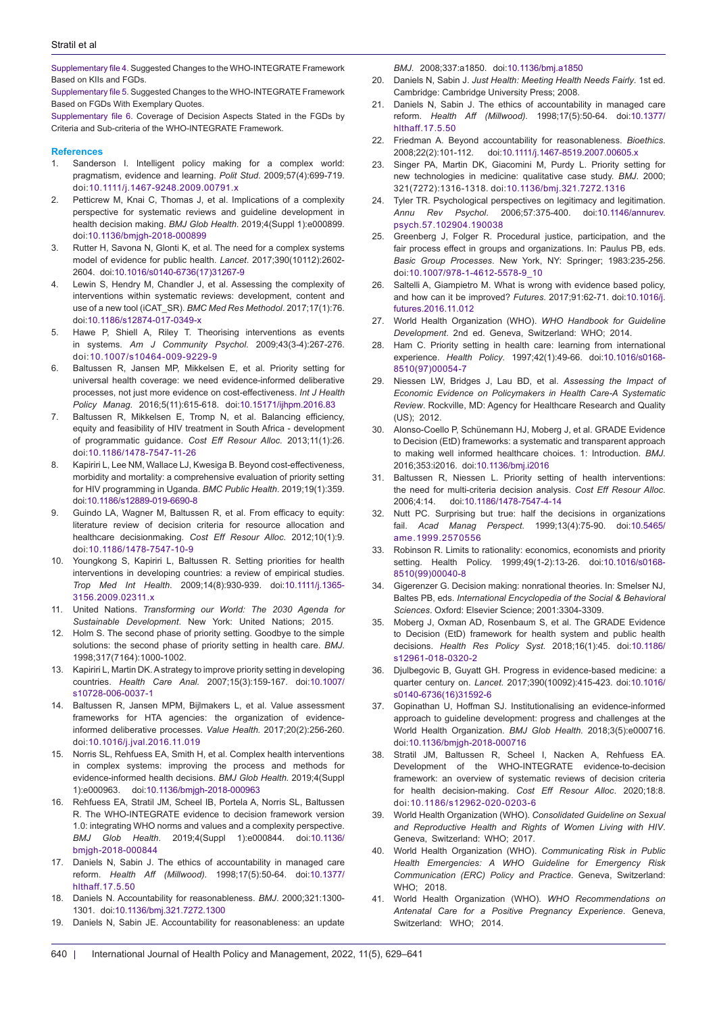<span id="page-11-0"></span>[Supplementary file 4](https://www.ijhpm.com/jufile?ar_sfile=45058). Suggested Changes to the WHO-INTEGRATE Framework Based on KIIs and FGDs.

<span id="page-11-1"></span>[Supplementary file 5](https://www.ijhpm.com/jufile?ar_sfile=45059). Suggested Changes to the WHO-INTEGRATE Framework Based on FGDs With Exemplary Quotes.

<span id="page-11-2"></span>[Supplementary file 6](https://www.ijhpm.com/jufile?ar_sfile=45060). Coverage of Decision Aspects Stated in the FGDs by Criteria and Sub-criteria of the WHO-INTEGRATE Framework.

#### **References**

- 1. Sanderson I. Intelligent policy making for a complex world: pragmatism, evidence and learning. *Polit Stud*. 2009;57(4):699-719. doi:[10.1111/j.1467-9248.2009.00791.x](https://doi.org/10.1111/j.1467-9248.2009.00791.x)
- 2. Petticrew M, Knai C, Thomas J, et al. Implications of a complexity perspective for systematic reviews and guideline development in health decision making. *BMJ Glob Health*. 2019;4(Suppl 1):e000899. doi:[10.1136/bmjgh-2018-000899](https://doi.org/10.1136/bmjgh-2018-000899)
- 3. Rutter H, Savona N, Glonti K, et al. The need for a complex systems model of evidence for public health. *Lancet*. 2017;390(10112):2602- 2604. doi[:10.1016/s0140-6736\(17\)31267-9](https://doi.org/10.1016/s0140-6736(17)31267-9)
- 4. Lewin S, Hendry M, Chandler J, et al. Assessing the complexity of interventions within systematic reviews: development, content and use of a new tool (iCAT\_SR). *BMC Med Res Methodol*. 2017;17(1):76. doi:[10.1186/s12874-017-0349-x](https://doi.org/10.1186/s12874-017-0349-x)
- 5. Hawe P, Shiell A, Riley T. Theorising interventions as events in systems. *Am J Community Psychol*. 2009;43(3-4):267-276. doi:[10.1007/s10464-009-9229-9](https://doi.org/10.1007/s10464-009-9229-9)
- 6. Baltussen R, Jansen MP, Mikkelsen E, et al. Priority setting for universal health coverage: we need evidence-informed deliberative processes, not just more evidence on cost-effectiveness. *Int J Health Policy Manag*. 2016;5(11):615-618. doi[:10.15171/ijhpm.2016.83](https://doi.org/10.15171/ijhpm.2016.83)
- 7. Baltussen R, Mikkelsen E, Tromp N, et al. Balancing efficiency, equity and feasibility of HIV treatment in South Africa - development of programmatic guidance. *Cost Eff Resour Alloc.* 2013;11(1):26. doi[:10.1186/1478-7547-11-26](https://doi.org/10.1186/1478-7547-11-26)
- 8. Kapiriri L, Lee NM, Wallace LJ, Kwesiga B. Beyond cost-effectiveness, morbidity and mortality: a comprehensive evaluation of priority setting for HIV programming in Uganda. *BMC Public Health*. 2019;19(1):359. doi[:10.1186/s12889-019-6690-8](https://doi.org/10.1186/s12889-019-6690-8)
- 9. Guindo LA, Wagner M, Baltussen R, et al. From efficacy to equity: literature review of decision criteria for resource allocation and healthcare decisionmaking. *Cost Eff Resour Alloc*. 2012;10(1):9. doi:[10.1186/1478-7547-10-9](https://doi.org/10.1186/1478-7547-10-9)
- 10. Youngkong S, Kapiriri L, Baltussen R. Setting priorities for health interventions in developing countries: a review of empirical studies. *Trop Med Int Health*. 2009;14(8):930-939. doi:[10.1111/j.1365-](https://doi.org/10.1111/j.1365-3156.2009.02311.x) [3156.2009.02311.x](https://doi.org/10.1111/j.1365-3156.2009.02311.x)
- 11. United Nations. *Transforming our World: The 2030 Agenda for Sustainable Development*. New York: United Nations; 2015.
- 12. Holm S. The second phase of priority setting. Goodbye to the simple solutions: the second phase of priority setting in health care. *BMJ*. 1998;317(7164):1000-1002.
- 13. Kapiriri L, Martin DK. A strategy to improve priority setting in developing countries. *Health Care Anal.* 2007;15(3):159-167. doi[:10.1007/](https://doi.org/10.1007/s10728-006-0037-1) [s10728-006-0037-1](https://doi.org/10.1007/s10728-006-0037-1)
- 14. Baltussen R, Jansen MPM, Bijlmakers L, et al. Value assessment frameworks for HTA agencies: the organization of evidenceinformed deliberative processes. *Value Health.* 2017;20(2):256-260. doi[:10.1016/j.jval.2016.11.019](https://doi.org/10.1016/j.jval.2016.11.019)
- 15. Norris SL, Rehfuess EA, Smith H, et al. Complex health interventions in complex systems: improving the process and methods for evidence-informed health decisions. *BMJ Glob Health.* 2019;4(Suppl 1):e000963. doi:[10.1136/bmjgh-2018-000963](https://doi.org/10.1136/bmjgh-2018-000963)
- 16. Rehfuess EA, Stratil JM, Scheel IB, Portela A, Norris SL, Baltussen R. The WHO-INTEGRATE evidence to decision framework version 1.0: integrating WHO norms and values and a complexity perspective. *BMJ Glob Health*. 2019;4(Suppl 1):e000844. doi[:10.1136/](https://doi.org/10.1136/bmjgh-2018-000844) [bmjgh-2018-000844](https://doi.org/10.1136/bmjgh-2018-000844)
- 17. Daniels N, Sabin J. The ethics of accountability in managed care reform. *Health Aff (Millwood).* 1998;17(5):50-64. doi[:10.1377/](https://doi.org/10.1377/hlthaff.17.5.50) [hlthaff.17.5.50](https://doi.org/10.1377/hlthaff.17.5.50)
- 18. Daniels N. Accountability for reasonableness. *BMJ*. 2000;321:1300- 1301. doi:[10.1136/bmj.321.7272.1300](https://doi.org/10.1136/bmj.321.7272.1300)
- 19. Daniels N, Sabin JE. Accountability for reasonableness: an update

*BMJ*. 2008;337:a1850. doi[:10.1136/bmj.a1850](https://doi.org/10.1136/bmj.a1850 )

- 20. Daniels N, Sabin J. *Just Health: Meeting Health Needs Fairly*. 1st ed. Cambridge: Cambridge University Press; 2008.
- 21. Daniels N, Sabin J. The ethics of accountability in managed care reform. *Health Aff (Millwood).* 1998;17(5):50-64. doi:[10.1377/](https://doi.org/10.1377/hlthaff.17.5.50) [hlthaff.17.5.50](https://doi.org/10.1377/hlthaff.17.5.50)
- 22. Friedman A. Beyond accountability for reasonableness. *Bioethics*. 2008;22(2):101-112. doi[:10.1111/j.1467-8519.2007.00605.x](https://doi.org/10.1111/j.1467-8519.2007.00605.x)
- 23. Singer PA, Martin DK, Giacomini M, Purdy L. Priority setting for new technologies in medicine: qualitative case study. *BMJ*. 2000; 321(7272):1316-1318. doi:[10.1136/bmj.321.7272.1316](https://doi.org/10.1136/bmj.321.7272.1316)
- 24. Tyler TR. Psychological perspectives on legitimacy and legitimation. *Annu Rev Psychol*. 2006;57:375-400. doi[:10.1146/annurev.](https://doi.org/10.1146/annurev.psych.57.102904.190038) [psych.57.102904.190038](https://doi.org/10.1146/annurev.psych.57.102904.190038)
- 25. Greenberg J, Folger R. Procedural justice, participation, and the fair process effect in groups and organizations. In: Paulus PB, eds. *Basic Group Processes*. New York, NY: Springer; 1983:235-256. doi:[10.1007/978-1-4612-5578-9\\_10](https://doi.org/10.1007/978-1-4612-5578-9_10)
- 26. Saltelli A, Giampietro M. What is wrong with evidence based policy, and how can it be improved? *Futures*. 2017;91:62-71. doi[:10.1016/j.](https://doi.org/10.1016/j.futures.2016.11.012) [futures.2016.11.012](https://doi.org/10.1016/j.futures.2016.11.012)
- 27. World Health Organization (WHO). *WHO Handbook for Guideline Development*. 2nd ed. Geneva, Switzerland: WHO; 2014.
- 28. Ham C. Priority setting in health care: learning from international experience. *Health Policy*. 1997;42(1):49-66. doi[:10.1016/s0168-](https://doi.org/10.1016/s0168-8510(97)00054-7) [8510\(97\)00054-7](https://doi.org/10.1016/s0168-8510(97)00054-7)
- 29. Niessen LW, Bridges J, Lau BD, et al. *Assessing the Impact of Economic Evidence on Policymakers in Health Care-A Systematic Review*. Rockville, MD: Agency for Healthcare Research and Quality (US); 2012.
- 30. Alonso-Coello P, Schünemann HJ, Moberg J, et al. GRADE Evidence to Decision (EtD) frameworks: a systematic and transparent approach to making well informed healthcare choices. 1: Introduction. *BMJ*. 2016;353:i2016. doi:[10.1136/bmj.i2016](https://doi.org/10.1136/bmj.i2016)
- 31. Baltussen R, Niessen L. Priority setting of health interventions: the need for multi-criteria decision analysis. *Cost Eff Resour Alloc*. 2006;4:14. doi:[10.1186/1478-7547-4-14](https://doi.org/10.1186/1478-7547-4-14)
- 32. Nutt PC. Surprising but true: half the decisions in organizations fail. *Acad Manag Perspect*. 1999;13(4):75-90. doi:[10.5465/](https://doi.org/10.5465/ame.1999.2570556) [ame.1999.2570556](https://doi.org/10.5465/ame.1999.2570556)
- 33. Robinson R. Limits to rationality: economics, economists and priority setting. Health Policy. 1999;49(1-2):13-26. doi[:10.1016/s0168-](https://doi.org/10.1016/s0168-8510(99)00040-8) [8510\(99\)00040-8](https://doi.org/10.1016/s0168-8510(99)00040-8)
- 34. Gigerenzer G. Decision making: nonrational theories. In: Smelser NJ, Baltes PB, eds. *International Encyclopedia of the Social & Behavioral Sciences*. Oxford: Elsevier Science; 2001:3304-3309.
- 35. Moberg J, Oxman AD, Rosenbaum S, et al. The GRADE Evidence to Decision (EtD) framework for health system and public health decisions. *Health Res Policy Syst*. 2018;16(1):45. doi[:10.1186/](https://doi.org/10.1186/s12961-018-0320-2) [s12961-018-0320-2](https://doi.org/10.1186/s12961-018-0320-2)
- 36. Djulbegovic B, Guyatt GH. Progress in evidence-based medicine: a quarter century on. *Lancet*. 2017;390(10092):415-423. doi:[10.1016/](https://doi.org/10.1016/s0140-6736(16)31592-6) [s0140-6736\(16\)31592-6](https://doi.org/10.1016/s0140-6736(16)31592-6)
- 37. Gopinathan U, Hoffman SJ. Institutionalising an evidence-informed approach to guideline development: progress and challenges at the World Health Organization. *BMJ Glob Health.* 2018;3(5):e000716. doi[:10.1136/bmjgh-2018-000716](https://doi.org/10.1136/bmjgh-2018-000716)
- 38. Stratil JM, Baltussen R, Scheel I, Nacken A, Rehfuess EA. Development of the WHO-INTEGRATE evidence-to-decision framework: an overview of systematic reviews of decision criteria for health decision-making. *Cost Eff Resour Alloc*. 2020;18:8. doi:[10.1186/s12962-020-0203-6](https://doi.org/10.1186/s12962-020-0203-6)
- 39. World Health Organization (WHO). *Consolidated Guideline on Sexual and Reproductive Health and Rights of Women Living with HIV*. Geneva, Switzerland: WHO; 2017.
- 40. World Health Organization (WHO). *Communicating Risk in Public Health Emergencies: A WHO Guideline for Emergency Risk Communication (ERC) Policy and Practice*. Geneva, Switzerland: WHO; 2018.
- 41. World Health Organization (WHO). *WHO Recommendations on Antenatal Care for a Positive Pregnancy Experience*. Geneva, Switzerland: WHO; 2014.